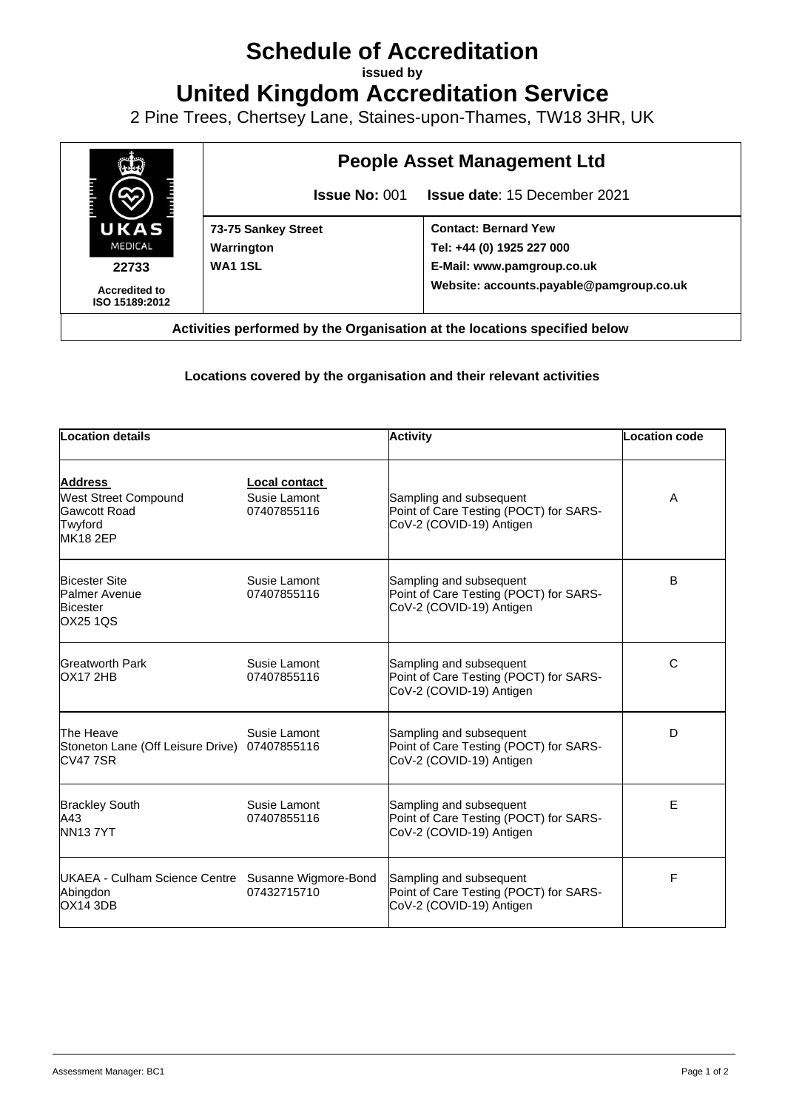## **Schedule of Accreditation**

**issued by**

**United Kingdom Accreditation Service**

2 Pine Trees, Chertsey Lane, Staines-upon-Thames, TW18 3HR, UK



## **Locations covered by the organisation and their relevant activities**

| <b>Location details</b>                                                                            |                                              | <b>Activity</b>                                                                               | <b>Location code</b> |  |
|----------------------------------------------------------------------------------------------------|----------------------------------------------|-----------------------------------------------------------------------------------------------|----------------------|--|
| <b>Address</b><br><b>West Street Compound</b><br><b>Gawcott Road</b><br>Twyford<br><b>MK18 2EP</b> | Local contact<br>Susie Lamont<br>07407855116 | Sampling and subsequent<br>Point of Care Testing (POCT) for SARS-<br>CoV-2 (COVID-19) Antigen | A                    |  |
| <b>Bicester Site</b><br><b>Palmer Avenue</b><br><b>Bicester</b><br><b>OX25 1QS</b>                 | Susie Lamont<br>07407855116                  | Sampling and subsequent<br>Point of Care Testing (POCT) for SARS-<br>CoV-2 (COVID-19) Antigen | B                    |  |
| <b>Greatworth Park</b><br><b>OX17 2HB</b>                                                          | Susie Lamont<br>07407855116                  | Sampling and subsequent<br>Point of Care Testing (POCT) for SARS-<br>CoV-2 (COVID-19) Antigen | C                    |  |
| The Heave<br>Stoneton Lane (Off Leisure Drive) 07407855116<br><b>CV477SR</b>                       | Susie Lamont                                 | Sampling and subsequent<br>Point of Care Testing (POCT) for SARS-<br>CoV-2 (COVID-19) Antigen | D                    |  |
| <b>Brackley South</b><br>A43<br><b>NN137YT</b>                                                     | Susie Lamont<br>07407855116                  | Sampling and subsequent<br>Point of Care Testing (POCT) for SARS-<br>CoV-2 (COVID-19) Antigen | Е                    |  |
| UKAEA - Culham Science Centre Susanne Wigmore-Bond<br>Abingdon<br><b>OX14 3DB</b>                  | 07432715710                                  | Sampling and subsequent<br>Point of Care Testing (POCT) for SARS-<br>CoV-2 (COVID-19) Antigen | F                    |  |